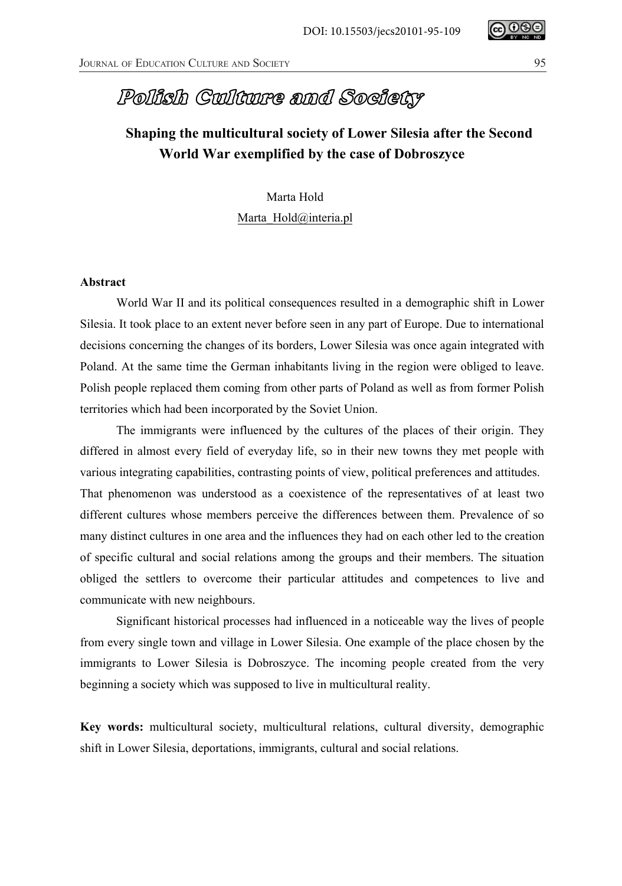## Polish Culture and Society

## **Shaping the multicultural society of Lower Silesia after the Second World War exemplified by the case of Dobroszyce**

Marta Hold Marta Hold@interia.pl

## **Abstract**

World War II and its political consequences resulted in a demographic shift in Lower Silesia. It took place to an extent never before seen in any part of Europe. Due to international decisions concerning the changes of its borders, Lower Silesia was once again integrated with Poland. At the same time the German inhabitants living in the region were obliged to leave. Polish people replaced them coming from other parts of Poland as well as from former Polish territories which had been incorporated by the Soviet Union.

The immigrants were influenced by the cultures of the places of their origin. They differed in almost every field of everyday life, so in their new towns they met people with various integrating capabilities, contrasting points of view, political preferences and attitudes. That phenomenon was understood as a coexistence of the representatives of at least two different cultures whose members perceive the differences between them. Prevalence of so many distinct cultures in one area and the influences they had on each other led to the creation of specific cultural and social relations among the groups and their members. The situation obliged the settlers to overcome their particular attitudes and competences to live and communicate with new neighbours.

Significant historical processes had influenced in a noticeable way the lives of people from every single town and village in Lower Silesia. One example of the place chosen by the immigrants to Lower Silesia is Dobroszyce. The incoming people created from the very beginning a society which was supposed to live in multicultural reality.

**Key words:** multicultural society, multicultural relations, cultural diversity, demographic shift in Lower Silesia, deportations, immigrants, cultural and social relations.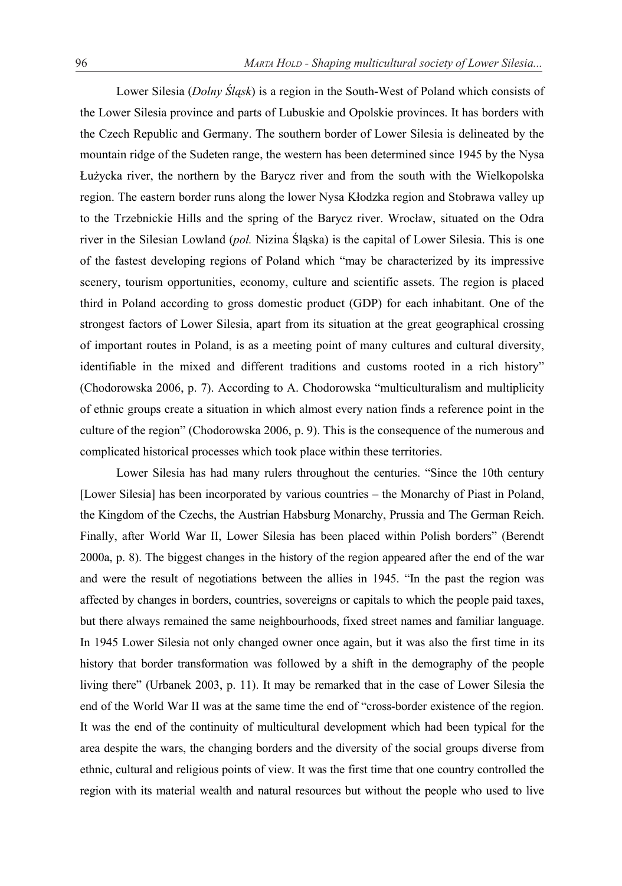Lower Silesia (*Dolny ĝląsk*) is a region in the South-West of Poland which consists of the Lower Silesia province and parts of Lubuskie and Opolskie provinces. It has borders with the Czech Republic and Germany. The southern border of Lower Silesia is delineated by the mountain ridge of the Sudeten range, the western has been determined since 1945 by the Nysa Łużycka river, the northern by the Barycz river and from the south with the Wielkopolska region. The eastern border runs along the lower Nysa Kłodzka region and Stobrawa valley up to the Trzebnickie Hills and the spring of the Barycz river. Wrocáaw, situated on the Odra river in the Silesian Lowland (*pol.* Nizina ĝląska) is the capital of Lower Silesia. This is one of the fastest developing regions of Poland which "may be characterized by its impressive scenery, tourism opportunities, economy, culture and scientific assets. The region is placed third in Poland according to gross domestic product (GDP) for each inhabitant. One of the strongest factors of Lower Silesia, apart from its situation at the great geographical crossing of important routes in Poland, is as a meeting point of many cultures and cultural diversity, identifiable in the mixed and different traditions and customs rooted in a rich history" (Chodorowska 2006, p. 7). According to A. Chodorowska "multiculturalism and multiplicity of ethnic groups create a situation in which almost every nation finds a reference point in the culture of the region" (Chodorowska 2006, p. 9). This is the consequence of the numerous and complicated historical processes which took place within these territories.

Lower Silesia has had many rulers throughout the centuries. "Since the 10th century [Lower Silesia] has been incorporated by various countries – the Monarchy of Piast in Poland, the Kingdom of the Czechs, the Austrian Habsburg Monarchy, Prussia and The German Reich. Finally, after World War II, Lower Silesia has been placed within Polish borders" (Berendt 2000a, p. 8). The biggest changes in the history of the region appeared after the end of the war and were the result of negotiations between the allies in 1945. "In the past the region was affected by changes in borders, countries, sovereigns or capitals to which the people paid taxes, but there always remained the same neighbourhoods, fixed street names and familiar language. In 1945 Lower Silesia not only changed owner once again, but it was also the first time in its history that border transformation was followed by a shift in the demography of the people living there" (Urbanek 2003, p. 11). It may be remarked that in the case of Lower Silesia the end of the World War II was at the same time the end of "cross-border existence of the region. It was the end of the continuity of multicultural development which had been typical for the area despite the wars, the changing borders and the diversity of the social groups diverse from ethnic, cultural and religious points of view. It was the first time that one country controlled the region with its material wealth and natural resources but without the people who used to live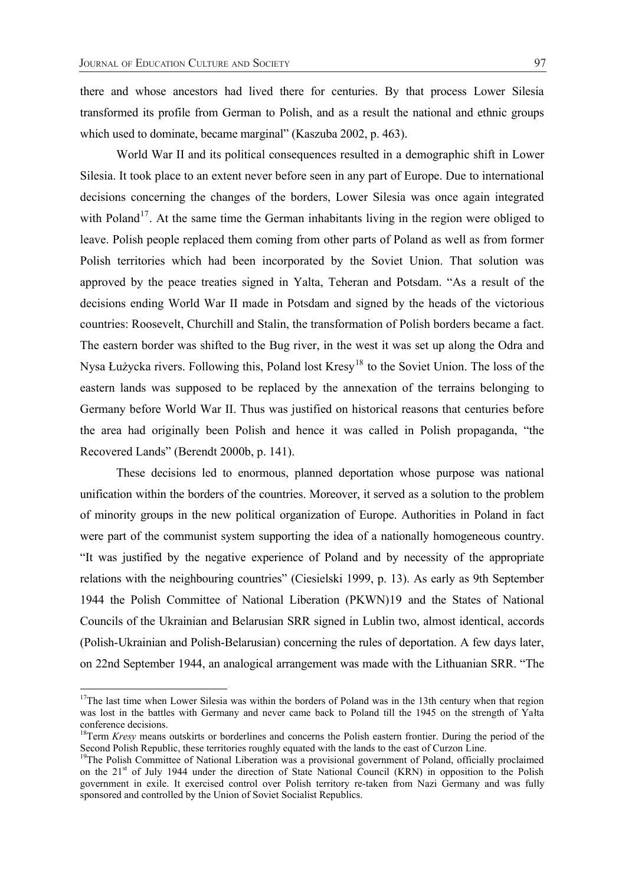there and whose ancestors had lived there for centuries. By that process Lower Silesia transformed its profile from German to Polish, and as a result the national and ethnic groups which used to dominate, became marginal" (Kaszuba 2002, p. 463).

World War II and its political consequences resulted in a demographic shift in Lower Silesia. It took place to an extent never before seen in any part of Europe. Due to international decisions concerning the changes of the borders, Lower Silesia was once again integrated with Poland<sup>17</sup>. At the same time the German inhabitants living in the region were obliged to leave. Polish people replaced them coming from other parts of Poland as well as from former Polish territories which had been incorporated by the Soviet Union. That solution was approved by the peace treaties signed in Yalta, Teheran and Potsdam. "As a result of the decisions ending World War II made in Potsdam and signed by the heads of the victorious countries: Roosevelt, Churchill and Stalin, the transformation of Polish borders became a fact. The eastern border was shifted to the Bug river, in the west it was set up along the Odra and Nysa Łużycka rivers. Following this, Poland lost Kresy<sup>18</sup> to the Soviet Union. The loss of the eastern lands was supposed to be replaced by the annexation of the terrains belonging to Germany before World War II. Thus was justified on historical reasons that centuries before the area had originally been Polish and hence it was called in Polish propaganda, "the Recovered Lands" (Berendt 2000b, p. 141).

These decisions led to enormous, planned deportation whose purpose was national unification within the borders of the countries. Moreover, it served as a solution to the problem of minority groups in the new political organization of Europe. Authorities in Poland in fact were part of the communist system supporting the idea of a nationally homogeneous country. "It was justified by the negative experience of Poland and by necessity of the appropriate relations with the neighbouring countries" (Ciesielski 1999, p. 13). As early as 9th September 1944 the Polish Committee of National Liberation (PKWN)19 and the States of National Councils of the Ukrainian and Belarusian SRR signed in Lublin two, almost identical, accords (Polish-Ukrainian and Polish-Belarusian) concerning the rules of deportation. A few days later, on 22nd September 1944, an analogical arrangement was made with the Lithuanian SRR. "The

 $17$ The last time when Lower Silesia was within the borders of Poland was in the 13th century when that region was lost in the battles with Germany and never came back to Poland till the 1945 on the strength of Yaáta conference decisions.

<sup>&</sup>lt;sup>18</sup>Term *Kresy* means outskirts or borderlines and concerns the Polish eastern frontier. During the period of the Second Polish Republic, these territories roughly equated with the lands to the east of Curzon Line.

<sup>&</sup>lt;sup>19</sup>The Polish Committee of National Liberation was a provisional government of Poland, officially proclaimed on the 21<sup>st</sup> of July 1944 under the direction of State National Council (KRN) in opposition to the Polish government in exile. It exercised control over Polish territory re-taken from Nazi Germany and was fully sponsored and controlled by the Union of Soviet Socialist Republics.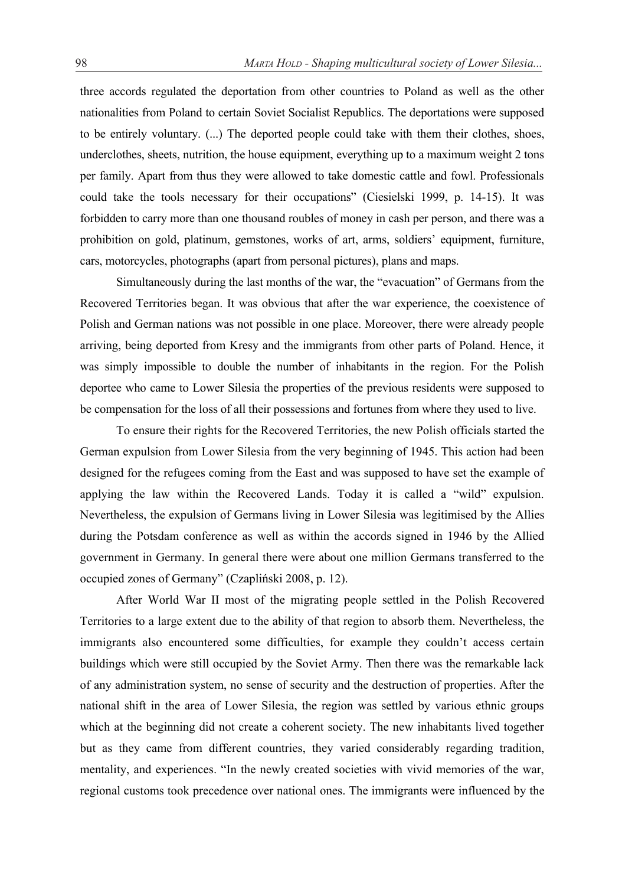three accords regulated the deportation from other countries to Poland as well as the other nationalities from Poland to certain Soviet Socialist Republics. The deportations were supposed to be entirely voluntary. (...) The deported people could take with them their clothes, shoes, underclothes, sheets, nutrition, the house equipment, everything up to a maximum weight 2 tons per family. Apart from thus they were allowed to take domestic cattle and fowl. Professionals could take the tools necessary for their occupations" (Ciesielski 1999, p. 14-15). It was forbidden to carry more than one thousand roubles of money in cash per person, and there was a prohibition on gold, platinum, gemstones, works of art, arms, soldiers' equipment, furniture, cars, motorcycles, photographs (apart from personal pictures), plans and maps.

Simultaneously during the last months of the war, the "evacuation" of Germans from the Recovered Territories began. It was obvious that after the war experience, the coexistence of Polish and German nations was not possible in one place. Moreover, there were already people arriving, being deported from Kresy and the immigrants from other parts of Poland. Hence, it was simply impossible to double the number of inhabitants in the region. For the Polish deportee who came to Lower Silesia the properties of the previous residents were supposed to be compensation for the loss of all their possessions and fortunes from where they used to live.

To ensure their rights for the Recovered Territories, the new Polish officials started the German expulsion from Lower Silesia from the very beginning of 1945. This action had been designed for the refugees coming from the East and was supposed to have set the example of applying the law within the Recovered Lands. Today it is called a "wild" expulsion. Nevertheless, the expulsion of Germans living in Lower Silesia was legitimised by the Allies during the Potsdam conference as well as within the accords signed in 1946 by the Allied government in Germany. In general there were about one million Germans transferred to the occupied zones of Germany" (Czapliński 2008, p. 12).

After World War II most of the migrating people settled in the Polish Recovered Territories to a large extent due to the ability of that region to absorb them. Nevertheless, the immigrants also encountered some difficulties, for example they couldn't access certain buildings which were still occupied by the Soviet Army. Then there was the remarkable lack of any administration system, no sense of security and the destruction of properties. After the national shift in the area of Lower Silesia, the region was settled by various ethnic groups which at the beginning did not create a coherent society. The new inhabitants lived together but as they came from different countries, they varied considerably regarding tradition, mentality, and experiences. "In the newly created societies with vivid memories of the war, regional customs took precedence over national ones. The immigrants were influenced by the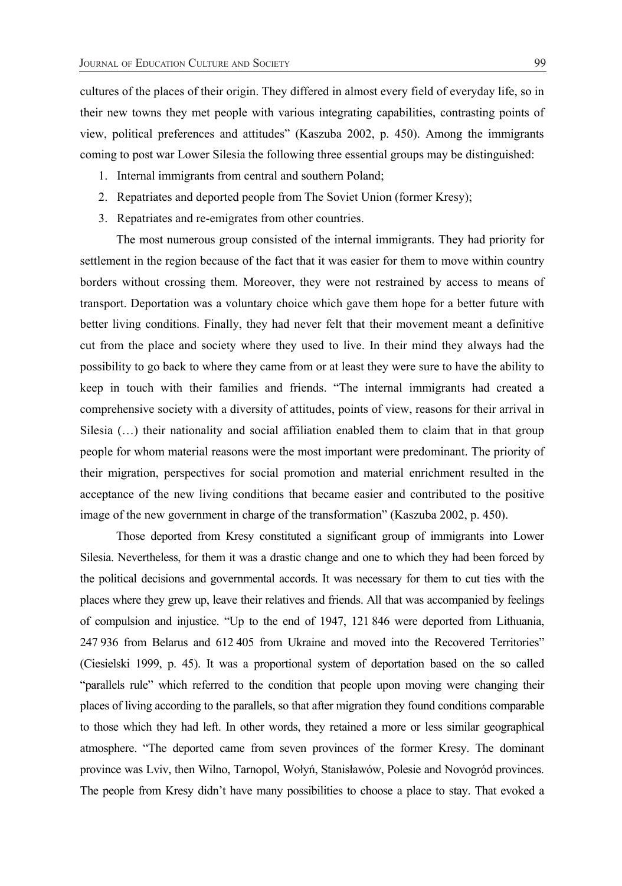cultures of the places of their origin. They differed in almost every field of everyday life, so in their new towns they met people with various integrating capabilities, contrasting points of view, political preferences and attitudes" (Kaszuba 2002, p. 450). Among the immigrants coming to post war Lower Silesia the following three essential groups may be distinguished:

- 1. Internal immigrants from central and southern Poland;
- 2. Repatriates and deported people from The Soviet Union (former Kresy);
- 3. Repatriates and re-emigrates from other countries.

The most numerous group consisted of the internal immigrants. They had priority for settlement in the region because of the fact that it was easier for them to move within country borders without crossing them. Moreover, they were not restrained by access to means of transport. Deportation was a voluntary choice which gave them hope for a better future with better living conditions. Finally, they had never felt that their movement meant a definitive cut from the place and society where they used to live. In their mind they always had the possibility to go back to where they came from or at least they were sure to have the ability to keep in touch with their families and friends. "The internal immigrants had created a comprehensive society with a diversity of attitudes, points of view, reasons for their arrival in Silesia  $(\ldots)$  their nationality and social affiliation enabled them to claim that in that group people for whom material reasons were the most important were predominant. The priority of their migration, perspectives for social promotion and material enrichment resulted in the acceptance of the new living conditions that became easier and contributed to the positive image of the new government in charge of the transformation" (Kaszuba 2002, p. 450).

Those deported from Kresy constituted a significant group of immigrants into Lower Silesia. Nevertheless, for them it was a drastic change and one to which they had been forced by the political decisions and governmental accords. It was necessary for them to cut ties with the places where they grew up, leave their relatives and friends. All that was accompanied by feelings of compulsion and injustice. "Up to the end of 1947, 121 846 were deported from Lithuania, 247 936 from Belarus and 612 405 from Ukraine and moved into the Recovered Territories" (Ciesielski 1999, p. 45). It was a proportional system of deportation based on the so called "parallels rule" which referred to the condition that people upon moving were changing their places of living according to the parallels, so that after migration they found conditions comparable to those which they had left. In other words, they retained a more or less similar geographical atmosphere. "The deported came from seven provinces of the former Kresy. The dominant province was Lviv, then Wilno, Tarnopol, Wołyń, Stanisławów, Polesie and Novogród provinces. The people from Kresy didn't have many possibilities to choose a place to stay. That evoked a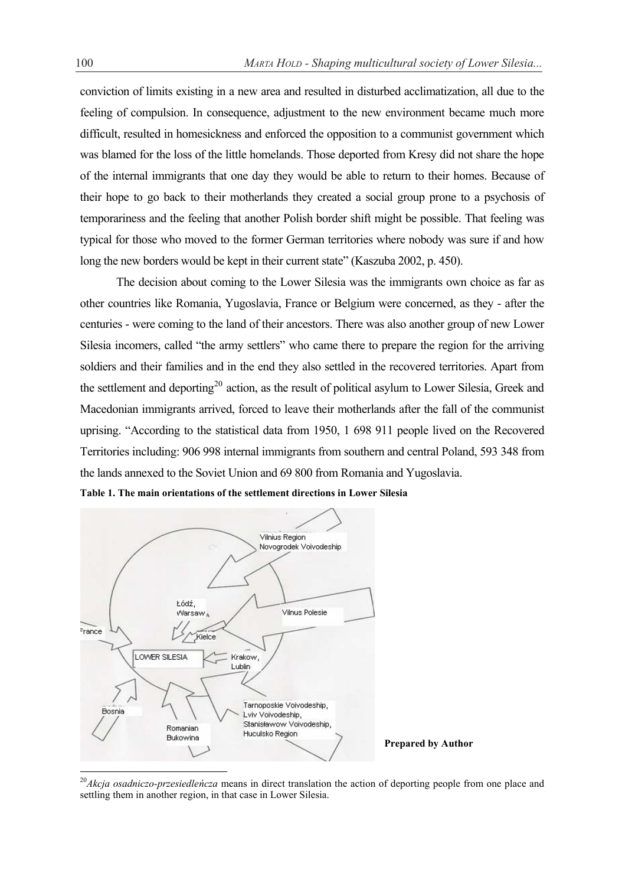conviction of limits existing in a new area and resulted in disturbed acclimatization, all due to the feeling of compulsion. In consequence, adjustment to the new environment became much more difficult, resulted in homesickness and enforced the opposition to a communist government which was blamed for the loss of the little homelands. Those deported from Kresy did not share the hope of the internal immigrants that one day they would be able to return to their homes. Because of their hope to go back to their motherlands they created a social group prone to a psychosis of temporariness and the feeling that another Polish border shift might be possible. That feeling was typical for those who moved to the former German territories where nobody was sure if and how long the new borders would be kept in their current state" (Kaszuba 2002, p. 450).

The decision about coming to the Lower Silesia was the immigrants own choice as far as other countries like Romania, Yugoslavia, France or Belgium were concerned, as they - after the centuries - were coming to the land of their ancestors. There was also another group of new Lower Silesia incomers, called "the army settlers" who came there to prepare the region for the arriving soldiers and their families and in the end they also settled in the recovered territories. Apart from the settlement and deporting<sup>20</sup> action, as the result of political asylum to Lower Silesia, Greek and Macedonian immigrants arrived, forced to leave their motherlands after the fall of the communist uprising. "According to the statistical data from 1950, 1 698 911 people lived on the Recovered Territories including: 906 998 internal immigrants from southern and central Poland, 593 348 from the lands annexed to the Soviet Union and 69 800 from Romania and Yugoslavia.





**Prepared by Author** 

<sup>&</sup>lt;sup>20</sup>*Akcja osadniczo-przesiedleńcza* means in direct translation the action of deporting people from one place and settling them in another region, in that case in Lower Silesia.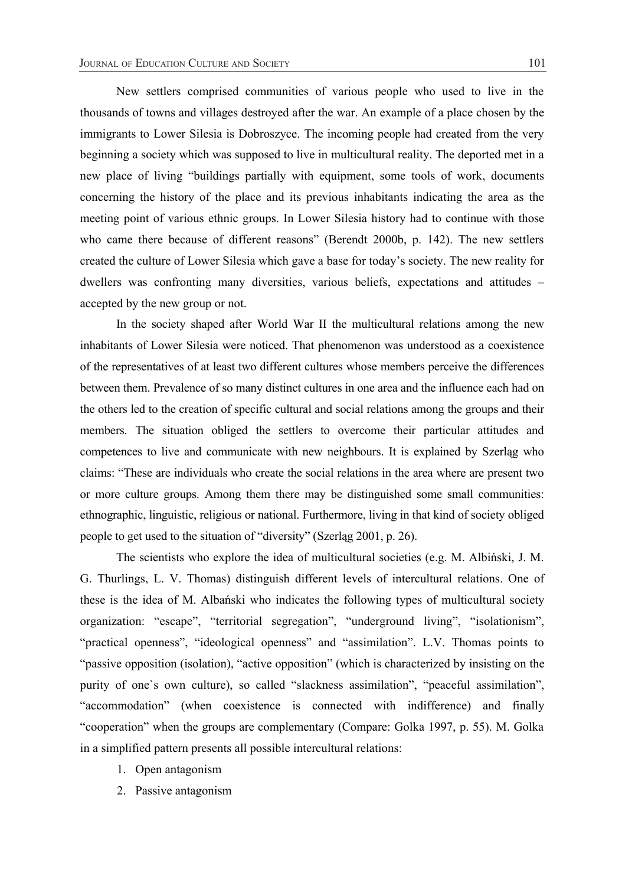New settlers comprised communities of various people who used to live in the thousands of towns and villages destroyed after the war. An example of a place chosen by the immigrants to Lower Silesia is Dobroszyce. The incoming people had created from the very beginning a society which was supposed to live in multicultural reality. The deported met in a new place of living "buildings partially with equipment, some tools of work, documents concerning the history of the place and its previous inhabitants indicating the area as the meeting point of various ethnic groups. In Lower Silesia history had to continue with those who came there because of different reasons" (Berendt 2000b, p. 142). The new settlers created the culture of Lower Silesia which gave a base for today's society. The new reality for dwellers was confronting many diversities, various beliefs, expectations and attitudes – accepted by the new group or not.

 In the society shaped after World War II the multicultural relations among the new inhabitants of Lower Silesia were noticed. That phenomenon was understood as a coexistence of the representatives of at least two different cultures whose members perceive the differences between them. Prevalence of so many distinct cultures in one area and the influence each had on the others led to the creation of specific cultural and social relations among the groups and their members. The situation obliged the settlers to overcome their particular attitudes and competences to live and communicate with new neighbours. It is explained by Szerląg who claims: "These are individuals who create the social relations in the area where are present two or more culture groups. Among them there may be distinguished some small communities: ethnographic, linguistic, religious or national. Furthermore, living in that kind of society obliged people to get used to the situation of "diversity" (Szerląg 2001, p. 26).

The scientists who explore the idea of multicultural societies (e.g.  $M$ . Albiński, J.  $M$ . G. Thurlings, L. V. Thomas) distinguish different levels of intercultural relations. One of these is the idea of M. Albański who indicates the following types of multicultural society organization: "escape", "territorial segregation", "underground living", "isolationism", "practical openness", "ideological openness" and "assimilation". L.V. Thomas points to "passive opposition (isolation), "active opposition" (which is characterized by insisting on the purity of one`s own culture), so called "slackness assimilation", "peaceful assimilation", "accommodation" (when coexistence is connected with indifference) and finally "cooperation" when the groups are complementary (Compare: Golka 1997, p. 55). M. Golka in a simplified pattern presents all possible intercultural relations:

- 1. Open antagonism
- 2. Passive antagonism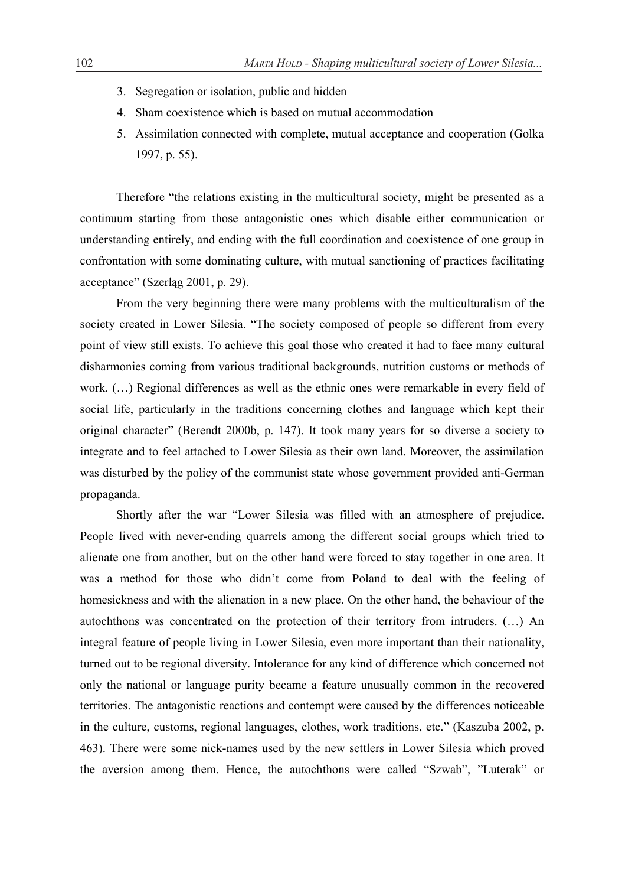- 3. Segregation or isolation, public and hidden
- 4. Sham coexistence which is based on mutual accommodation
- 5. Assimilation connected with complete, mutual acceptance and cooperation (Golka 1997, p. 55).

 Therefore "the relations existing in the multicultural society, might be presented as a continuum starting from those antagonistic ones which disable either communication or understanding entirely, and ending with the full coordination and coexistence of one group in confrontation with some dominating culture, with mutual sanctioning of practices facilitating acceptance" (Szerląg 2001, p. 29).

From the very beginning there were many problems with the multiculturalism of the society created in Lower Silesia. "The society composed of people so different from every point of view still exists. To achieve this goal those who created it had to face many cultural disharmonies coming from various traditional backgrounds, nutrition customs or methods of work. (…) Regional differences as well as the ethnic ones were remarkable in every field of social life, particularly in the traditions concerning clothes and language which kept their original character" (Berendt 2000b, p. 147). It took many years for so diverse a society to integrate and to feel attached to Lower Silesia as their own land. Moreover, the assimilation was disturbed by the policy of the communist state whose government provided anti-German propaganda.

Shortly after the war "Lower Silesia was filled with an atmosphere of prejudice. People lived with never-ending quarrels among the different social groups which tried to alienate one from another, but on the other hand were forced to stay together in one area. It was a method for those who didn't come from Poland to deal with the feeling of homesickness and with the alienation in a new place. On the other hand, the behaviour of the autochthons was concentrated on the protection of their territory from intruders. (…) An integral feature of people living in Lower Silesia, even more important than their nationality, turned out to be regional diversity. Intolerance for any kind of difference which concerned not only the national or language purity became a feature unusually common in the recovered territories. The antagonistic reactions and contempt were caused by the differences noticeable in the culture, customs, regional languages, clothes, work traditions, etc." (Kaszuba 2002, p. 463). There were some nick-names used by the new settlers in Lower Silesia which proved the aversion among them. Hence, the autochthons were called "Szwab", "Luterak" or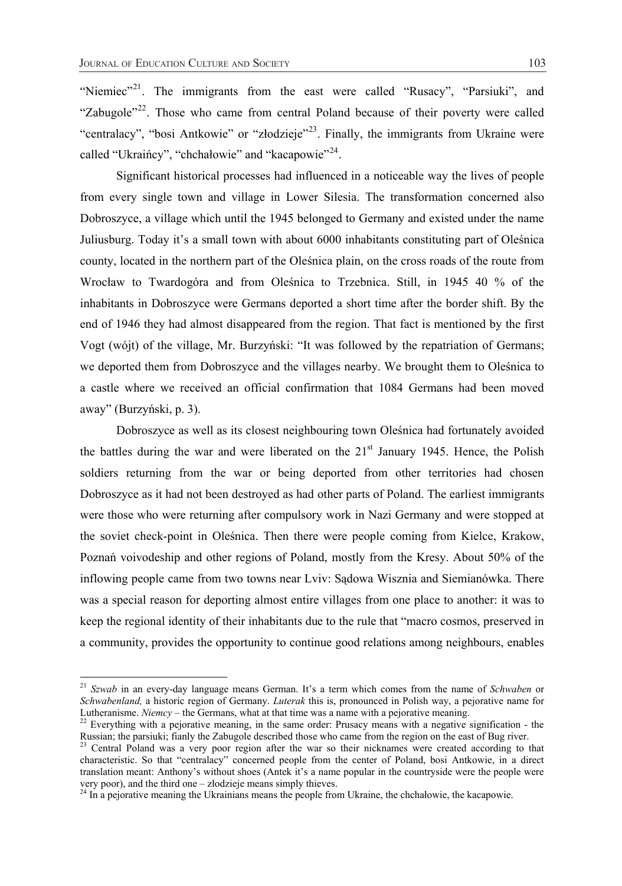"Niemiec"<sup>21</sup>. The immigrants from the east were called "Rusacy", "Parsiuki", and "Zabugole"<sup>22</sup>. Those who came from central Poland because of their poverty were called "centralacy", "bosi Antkowie" or "złodzieje"<sup>23</sup>. Finally, the immigrants from Ukraine were called "Ukraińcy", "chchałowie" and "kacapowie"<sup>24</sup>.

Significant historical processes had influenced in a noticeable way the lives of people from every single town and village in Lower Silesia. The transformation concerned also Dobroszyce, a village which until the 1945 belonged to Germany and existed under the name Juliusburg. Today it's a small town with about 6000 inhabitants constituting part of OleĞnica county, located in the northern part of the OleĞnica plain, on the cross roads of the route from Wrocław to Twardogóra and from Oleśnica to Trzebnica. Still, in 1945 40 % of the inhabitants in Dobroszyce were Germans deported a short time after the border shift. By the end of 1946 they had almost disappeared from the region. That fact is mentioned by the first Vogt (wójt) of the village, Mr. Burzyński: "It was followed by the repatriation of Germans; we deported them from Dobroszyce and the villages nearby. We brought them to OleĞnica to a castle where we received an official confirmation that 1084 Germans had been moved away" (Burzyński, p. 3).

Dobroszyce as well as its closest neighbouring town Oleśnica had fortunately avoided the battles during the war and were liberated on the  $21<sup>st</sup>$  January 1945. Hence, the Polish soldiers returning from the war or being deported from other territories had chosen Dobroszyce as it had not been destroyed as had other parts of Poland. The earliest immigrants were those who were returning after compulsory work in Nazi Germany and were stopped at the soviet check-point in OleĞnica. Then there were people coming from Kielce, Krakow, Poznań voivodeship and other regions of Poland, mostly from the Kresy. About 50% of the inflowing people came from two towns near Lviv: Sądowa Wisznia and Siemianówka. There was a special reason for deporting almost entire villages from one place to another: it was to keep the regional identity of their inhabitants due to the rule that "macro cosmos, preserved in a community, provides the opportunity to continue good relations among neighbours, enables

<sup>21</sup> *Szwab* in an every-day language means German. It's a term which comes from the name of *Schwaben* or *Schwabenland,* a historic region of Germany. *Luterak* this is, pronounced in Polish way, a pejorative name for Lutheranisme. *Niemcy* – the Germans, what at that time was a name with a pejorative meaning.

Eurisming. *Niemcy* – the Germans, when the Germans, when the German state means with a negative signification - the Russian; the parsiular, fianly the Zabugole described those who came from the region on the east of Bug r

Russian; the parsian; fiancy the Zabugole described the east of Bug river. 23 Central Poland was a very poor region after the war so their nicknames were created according to that characteristic. So that "centralacy" concerned people from the center of Poland, bosi Antkowie, in a direct translation meant: Anthony's without shoes (Antek it's a name popular in the countryside were the people were very poor), and the third one – złodzieje means simply thieves.

 $^{24}$  In a pejorative meaning the Ukrainians means the people from Ukraine, the chchałowie, the kacapowie.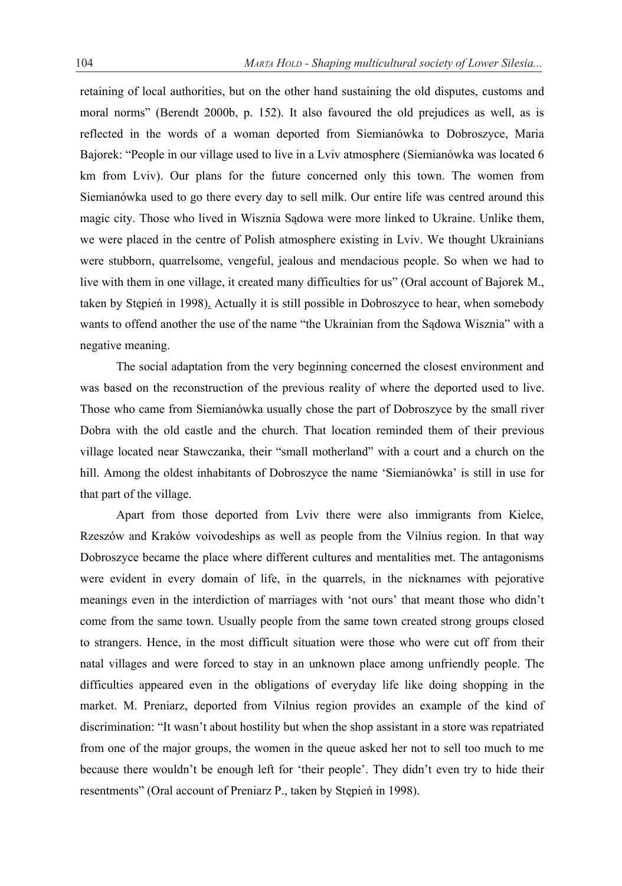retaining of local authorities, but on the other hand sustaining the old disputes, customs and moral norms" (Berendt 2000b, p. 152). It also favoured the old prejudices as well, as is reflected in the words of a woman deported from Siemianówka to Dobroszyce, Maria Bajorek: "People in our village used to live in a Lviv atmosphere (Siemianówka was located 6 km from Lviv). Our plans for the future concerned only this town. The women from Siemianówka used to go there every day to sell milk. Our entire life was centred around this magic city. Those who lived in Wisznia Sądowa were more linked to Ukraine. Unlike them, we were placed in the centre of Polish atmosphere existing in Lviv. We thought Ukrainians were stubborn, quarrelsome, vengeful, jealous and mendacious people. So when we had to live with them in one village, it created many difficulties for us" (Oral account of Bajorek M., taken by Stepień in 1998). Actually it is still possible in Dobroszyce to hear, when somebody wants to offend another the use of the name "the Ukrainian from the Sądowa Wisznia" with a negative meaning.

The social adaptation from the very beginning concerned the closest environment and was based on the reconstruction of the previous reality of where the deported used to live. Those who came from Siemianówka usually chose the part of Dobroszyce by the small river Dobra with the old castle and the church. That location reminded them of their previous village located near Stawczanka, their "small motherland" with a court and a church on the hill. Among the oldest inhabitants of Dobroszyce the name 'Siemianówka' is still in use for that part of the village.

Apart from those deported from Lviv there were also immigrants from Kielce, Rzeszów and Kraków voivodeships as well as people from the Vilnius region. In that way Dobroszyce became the place where different cultures and mentalities met. The antagonisms were evident in every domain of life, in the quarrels, in the nicknames with pejorative meanings even in the interdiction of marriages with 'not ours' that meant those who didn't come from the same town. Usually people from the same town created strong groups closed to strangers. Hence, in the most difficult situation were those who were cut off from their natal villages and were forced to stay in an unknown place among unfriendly people. The difficulties appeared even in the obligations of everyday life like doing shopping in the market. M. Preniarz, deported from Vilnius region provides an example of the kind of discrimination: "It wasn't about hostility but when the shop assistant in a store was repatriated from one of the major groups, the women in the queue asked her not to sell too much to me because there wouldn't be enough left for 'their people'. They didn't even try to hide their resentments" (Oral account of Preniarz P., taken by Stępień in 1998).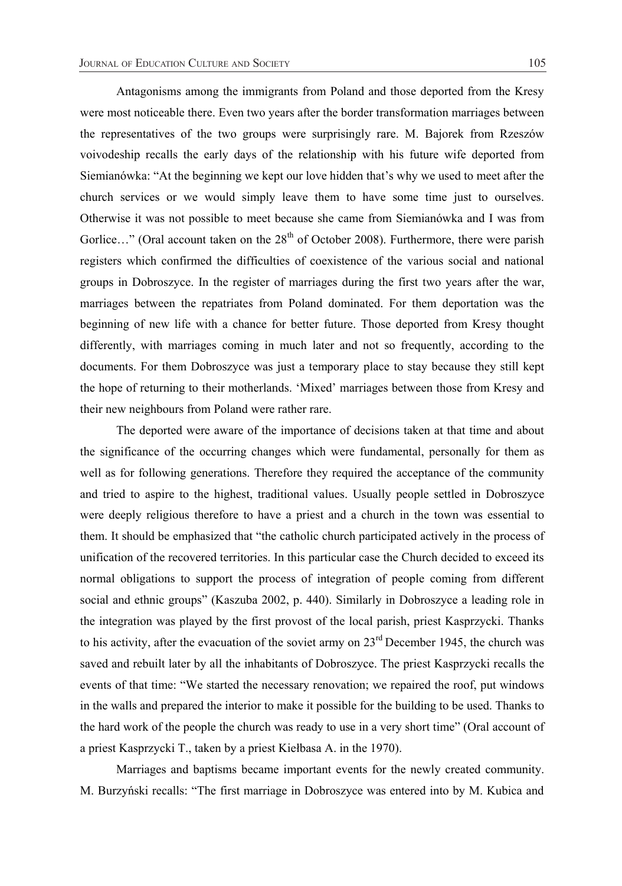Antagonisms among the immigrants from Poland and those deported from the Kresy were most noticeable there. Even two years after the border transformation marriages between the representatives of the two groups were surprisingly rare. M. Bajorek from Rzeszów voivodeship recalls the early days of the relationship with his future wife deported from Siemianówka: "At the beginning we kept our love hidden that's why we used to meet after the church services or we would simply leave them to have some time just to ourselves. Otherwise it was not possible to meet because she came from Siemianówka and I was from Gorlice..." (Oral account taken on the 28<sup>th</sup> of October 2008). Furthermore, there were parish registers which confirmed the difficulties of coexistence of the various social and national groups in Dobroszyce. In the register of marriages during the first two years after the war, marriages between the repatriates from Poland dominated. For them deportation was the beginning of new life with a chance for better future. Those deported from Kresy thought differently, with marriages coming in much later and not so frequently, according to the documents. For them Dobroszyce was just a temporary place to stay because they still kept the hope of returning to their motherlands. 'Mixed' marriages between those from Kresy and their new neighbours from Poland were rather rare.

 The deported were aware of the importance of decisions taken at that time and about the significance of the occurring changes which were fundamental, personally for them as well as for following generations. Therefore they required the acceptance of the community and tried to aspire to the highest, traditional values. Usually people settled in Dobroszyce were deeply religious therefore to have a priest and a church in the town was essential to them. It should be emphasized that "the catholic church participated actively in the process of unification of the recovered territories. In this particular case the Church decided to exceed its normal obligations to support the process of integration of people coming from different social and ethnic groups" (Kaszuba 2002, p. 440). Similarly in Dobroszyce a leading role in the integration was played by the first provost of the local parish, priest Kasprzycki. Thanks to his activity, after the evacuation of the soviet army on  $23<sup>rd</sup>$  December 1945, the church was saved and rebuilt later by all the inhabitants of Dobroszyce. The priest Kasprzycki recalls the events of that time: "We started the necessary renovation; we repaired the roof, put windows in the walls and prepared the interior to make it possible for the building to be used. Thanks to the hard work of the people the church was ready to use in a very short time" (Oral account of a priest Kasprzycki T., taken by a priest Kiełbasa A. in the 1970).

Marriages and baptisms became important events for the newly created community. M. Burzyński recalls: "The first marriage in Dobroszyce was entered into by M. Kubica and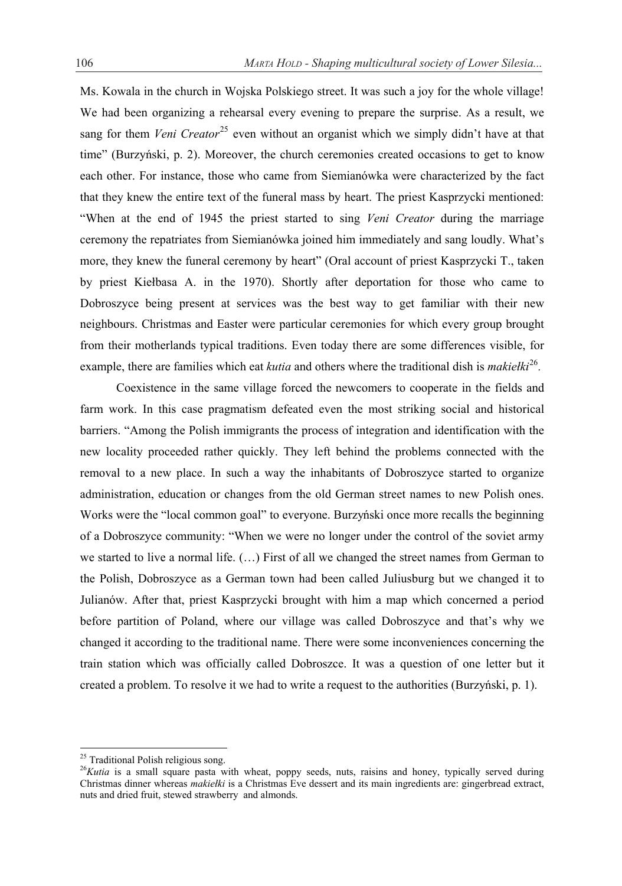Ms. Kowala in the church in Wojska Polskiego street. It was such a joy for the whole village! We had been organizing a rehearsal every evening to prepare the surprise. As a result, we sang for them *Veni Creator*<sup>25</sup> even without an organist which we simply didn't have at that time" (Burzyński, p. 2). Moreover, the church ceremonies created occasions to get to know each other. For instance, those who came from Siemianówka were characterized by the fact that they knew the entire text of the funeral mass by heart. The priest Kasprzycki mentioned: "When at the end of 1945 the priest started to sing *Veni Creator* during the marriage ceremony the repatriates from Siemianówka joined him immediately and sang loudly. What's more, they knew the funeral ceremony by heart" (Oral account of priest Kasprzycki T., taken by priest Kiełbasa A. in the 1970). Shortly after deportation for those who came to Dobroszyce being present at services was the best way to get familiar with their new neighbours. Christmas and Easter were particular ceremonies for which every group brought from their motherlands typical traditions. Even today there are some differences visible, for example, there are families which eat *kutia* and others where the traditional dish is *makielki*<sup>26</sup>.

Coexistence in the same village forced the newcomers to cooperate in the fields and farm work. In this case pragmatism defeated even the most striking social and historical barriers. "Among the Polish immigrants the process of integration and identification with the new locality proceeded rather quickly. They left behind the problems connected with the removal to a new place. In such a way the inhabitants of Dobroszyce started to organize administration, education or changes from the old German street names to new Polish ones. Works were the "local common goal" to everyone. Burzyński once more recalls the beginning of a Dobroszyce community: "When we were no longer under the control of the soviet army we started to live a normal life. (…) First of all we changed the street names from German to the Polish, Dobroszyce as a German town had been called Juliusburg but we changed it to Julianów. After that, priest Kasprzycki brought with him a map which concerned a period before partition of Poland, where our village was called Dobroszyce and that's why we changed it according to the traditional name. There were some inconveniences concerning the train station which was officially called Dobroszce. It was a question of one letter but it created a problem. To resolve it we had to write a request to the authorities (Burzyński, p. 1).

<sup>&</sup>lt;sup>25</sup> Traditional Polish religious song.

<sup>&</sup>lt;sup>26</sup>Kutia is a small square pasta with wheat, poppy seeds, nuts, raisins and honey, typically served during Christmas dinner whereas *makieáki* is a Christmas Eve dessert and its main ingredients are: gingerbread extract, nuts and dried fruit, stewed strawberry and almonds.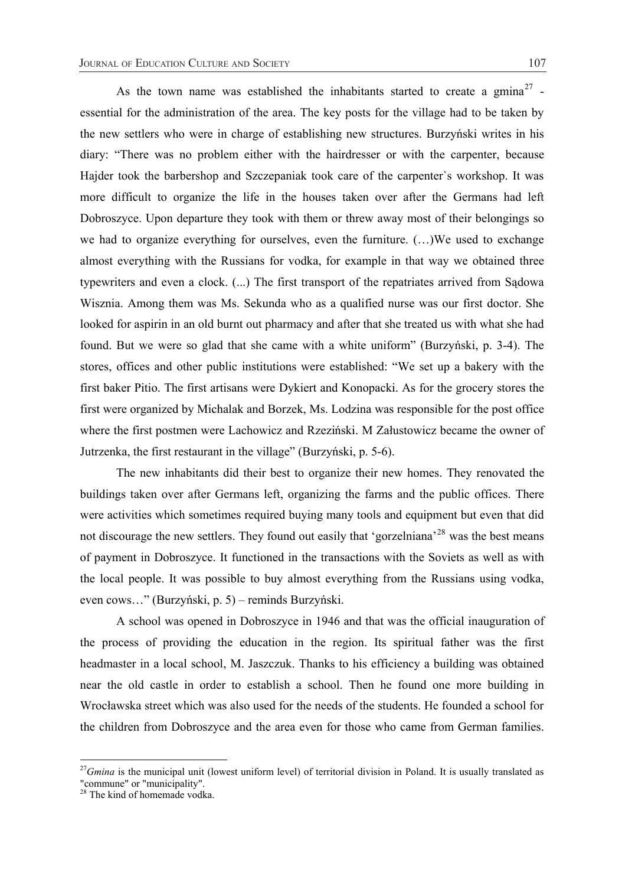As the town name was established the inhabitants started to create a  $g$ mina<sup>27</sup> essential for the administration of the area. The key posts for the village had to be taken by the new settlers who were in charge of establishing new structures. Burzyński writes in his diary: "There was no problem either with the hairdresser or with the carpenter, because Hajder took the barbershop and Szczepaniak took care of the carpenter`s workshop. It was more difficult to organize the life in the houses taken over after the Germans had left Dobroszyce. Upon departure they took with them or threw away most of their belongings so we had to organize everything for ourselves, even the furniture. (…)We used to exchange almost everything with the Russians for vodka, for example in that way we obtained three typewriters and even a clock. (...) The first transport of the repatriates arrived from Sądowa Wisznia. Among them was Ms. Sekunda who as a qualified nurse was our first doctor. She looked for aspirin in an old burnt out pharmacy and after that she treated us with what she had found. But we were so glad that she came with a white uniform" (Burzyński, p. 3-4). The stores, offices and other public institutions were established: "We set up a bakery with the first baker Pitio. The first artisans were Dykiert and Konopacki. As for the grocery stores the first were organized by Michalak and Borzek, Ms. Lodzina was responsible for the post office where the first postmen were Lachowicz and Rzeziński. M Załustowicz became the owner of Jutrzenka, the first restaurant in the village" (Burzyński, p. 5-6).

The new inhabitants did their best to organize their new homes. They renovated the buildings taken over after Germans left, organizing the farms and the public offices. There were activities which sometimes required buying many tools and equipment but even that did not discourage the new settlers. They found out easily that 'gorzelniana'<sup>28</sup> was the best means of payment in Dobroszyce. It functioned in the transactions with the Soviets as well as with the local people. It was possible to buy almost everything from the Russians using vodka, even cows..." (Burzyński, p. 5) – reminds Burzyński.

A school was opened in Dobroszyce in 1946 and that was the official inauguration of the process of providing the education in the region. Its spiritual father was the first headmaster in a local school, M. Jaszczuk. Thanks to his efficiency a building was obtained near the old castle in order to establish a school. Then he found one more building in Wrocáawska street which was also used for the needs of the students. He founded a school for the children from Dobroszyce and the area even for those who came from German families.

<sup>&</sup>lt;sup>27</sup>Gmina is the municipal unit (lowest uniform level) of territorial division in Poland. It is usually translated as "commune" or "municipality".

<sup>&</sup>lt;sup>28</sup> The kind of homemade vodka.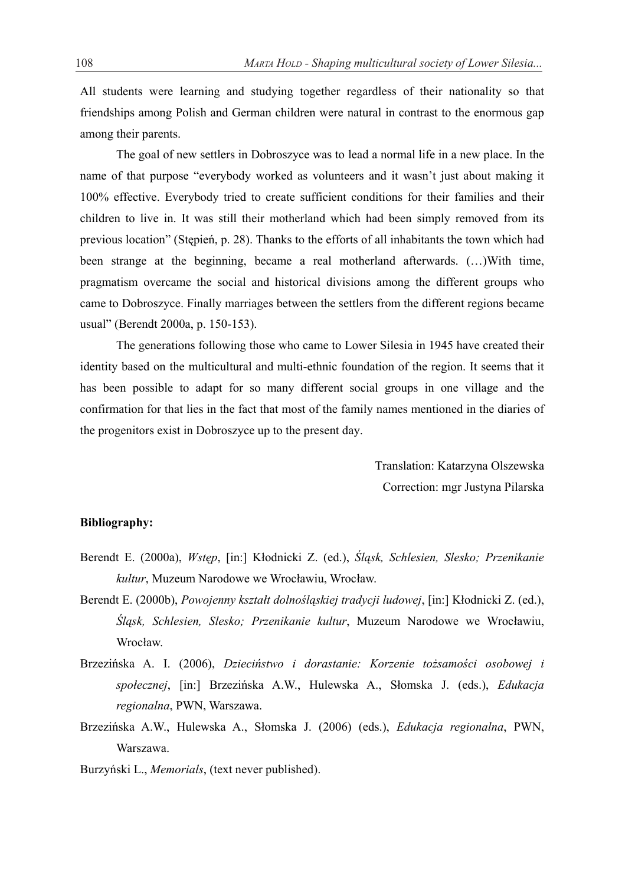All students were learning and studying together regardless of their nationality so that friendships among Polish and German children were natural in contrast to the enormous gap among their parents.

The goal of new settlers in Dobroszyce was to lead a normal life in a new place. In the name of that purpose "everybody worked as volunteers and it wasn't just about making it 100% effective. Everybody tried to create sufficient conditions for their families and their children to live in. It was still their motherland which had been simply removed from its previous location" (Stepien, p. 28). Thanks to the efforts of all inhabitants the town which had been strange at the beginning, became a real motherland afterwards. (…)With time, pragmatism overcame the social and historical divisions among the different groups who came to Dobroszyce. Finally marriages between the settlers from the different regions became usual" (Berendt 2000a, p. 150-153).

 The generations following those who came to Lower Silesia in 1945 have created their identity based on the multicultural and multi-ethnic foundation of the region. It seems that it has been possible to adapt for so many different social groups in one village and the confirmation for that lies in the fact that most of the family names mentioned in the diaries of the progenitors exist in Dobroszyce up to the present day.

> Translation: Katarzyna Olszewska Correction: mgr Justyna Pilarska

## **Bibliography:**

- Berendt E. (2000a), *Wstęp*, [in:] Kłodnicki Z. (ed.), Śląsk, Schlesien, Slesko; Przenikanie  *kultur*, Muzeum Narodowe we Wrocáawiu, Wrocáaw.
- Berendt E. (2000b), *Powojenny ksztaát dolnoĞląskiej tradycji ludowej*, [in:] Káodnicki Z. (ed.), *ĝląsk, Schlesien, Slesko; Przenikanie kultur*, Muzeum Narodowe we Wrocáawiu, Wrocław.
- BrzeziĔska A. I. (2006), *DzieciĔstwo i dorastanie: Korzenie toĪsamoĞci osobowej i spoáecznej*, [in:] BrzeziĔska A.W., Hulewska A., Sáomska J. (eds.), *Edukacja regionalna*, PWN, Warszawa.
- BrzeziĔska A.W., Hulewska A., Sáomska J. (2006) (eds.), *Edukacja regionalna*, PWN, Warszawa.
- Burzyński L., *Memorials*, (text never published).